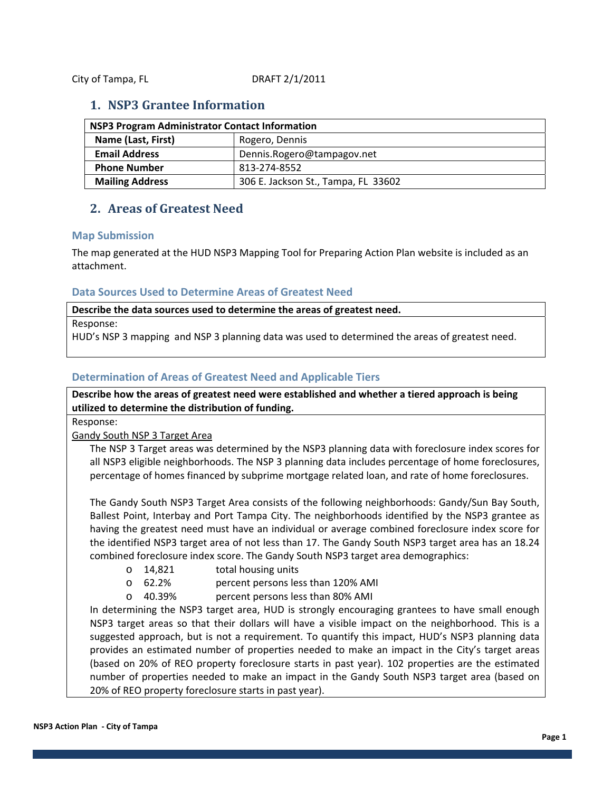City of Tampa, FL DRAFT 2/1/2011

### **1. NSP3 Grantee Information**

| NSP3 Program Administrator Contact Information |                                     |
|------------------------------------------------|-------------------------------------|
| Name (Last, First)                             | Rogero, Dennis                      |
| <b>Email Address</b>                           | Dennis.Rogero@tampagov.net          |
| <b>Phone Number</b>                            | 813-274-8552                        |
| <b>Mailing Address</b>                         | 306 E. Jackson St., Tampa, FL 33602 |

## **2. Areas of Greatest Need**

#### **Map Submission**

The map generated at the HUD NSP3 Mapping Tool for Preparing Action Plan website is included as an attachment.

#### **Data Sources Used to Determine Areas of Greatest Need**

**Describe the data sources used to determine the areas of greatest need.** 

Response:

HUD's NSP 3 mapping and NSP 3 planning data was used to determined the areas of greatest need.

#### **Determination of Areas of Greatest Need and Applicable Tiers**

**Describe how the areas of greatest need were established and whether a tiered approach is being utilized to determine the distribution of funding.** 

Response:

Gandy South NSP 3 Target Area

The NSP 3 Target areas was determined by the NSP3 planning data with foreclosure index scores for all NSP3 eligible neighborhoods. The NSP 3 planning data includes percentage of home foreclosures, percentage of homes financed by subprime mortgage related loan, and rate of home foreclosures.

The Gandy South NSP3 Target Area consists of the following neighborhoods: Gandy/Sun Bay South, Ballest Point, Interbay and Port Tampa City. The neighborhoods identified by the NSP3 grantee as having the greatest need must have an individual or average combined foreclosure index score for the identified NSP3 target area of not less than 17. The Gandy South NSP3 target area has an 18.24 combined foreclosure index score. The Gandy South NSP3 target area demographics:

- o 14,821 total housing units
- o 62.2% percent persons less than 120% AMI
- o 40.39% percent persons less than 80% AMI

In determining the NSP3 target area, HUD is strongly encouraging grantees to have small enough NSP3 target areas so that their dollars will have a visible impact on the neighborhood. This is a suggested approach, but is not a requirement. To quantify this impact, HUD's NSP3 planning data provides an estimated number of properties needed to make an impact in the City's target areas (based on 20% of REO property foreclosure starts in past year). 102 properties are the estimated number of properties needed to make an impact in the Gandy South NSP3 target area (based on 20% of REO property foreclosure starts in past year).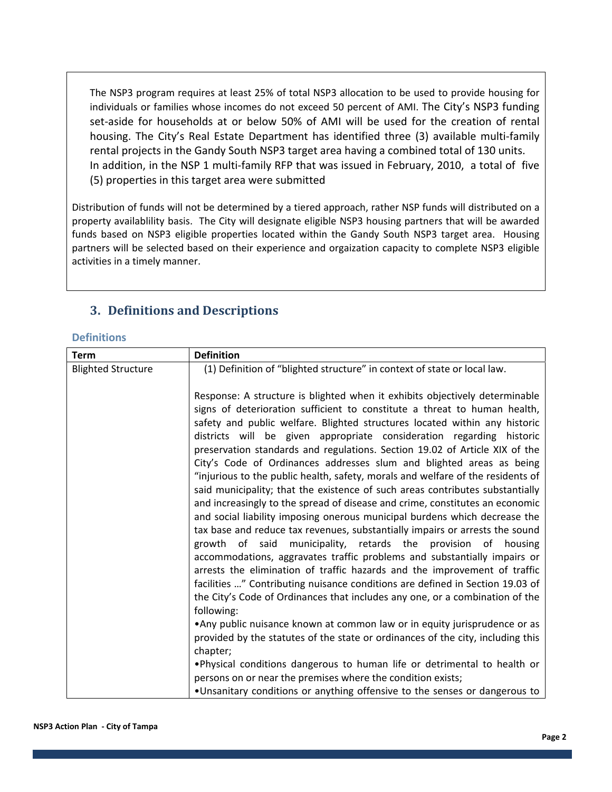The NSP3 program requires at least 25% of total NSP3 allocation to be used to provide housing for individuals or families whose incomes do not exceed 50 percent of AMI. The City's NSP3 funding set-aside for households at or below 50% of AMI will be used for the creation of rental housing. The City's Real Estate Department has identified three (3) available multi‐family rental projects in the Gandy South NSP3 target area having a combined total of 130 units. In addition, in the NSP 1 multi‐family RFP that was issued in February, 2010, a total of five (5) properties in this target area were submitted

Distribution of funds will not be determined by a tiered approach, rather NSP funds will distributed on a property availablility basis. The City will designate eligible NSP3 housing partners that will be awarded funds based on NSP3 eligible properties located within the Gandy South NSP3 target area. Housing partners will be selected based on their experience and orgaization capacity to complete NSP3 eligible activities in a timely manner.

## **3. Definitions and Descriptions**

#### **Definitions**

| <b>Term</b>               | <b>Definition</b>                                                                                                                                                                                                                                                                                                                                                                                                                                                                                                                                                                                                                                                                                                                                                                                                                                                                                                                                                                                                                                                                                                                                                                                                                                                                                                                                                                                                                                                                                                                                                                                                                                                                                        |
|---------------------------|----------------------------------------------------------------------------------------------------------------------------------------------------------------------------------------------------------------------------------------------------------------------------------------------------------------------------------------------------------------------------------------------------------------------------------------------------------------------------------------------------------------------------------------------------------------------------------------------------------------------------------------------------------------------------------------------------------------------------------------------------------------------------------------------------------------------------------------------------------------------------------------------------------------------------------------------------------------------------------------------------------------------------------------------------------------------------------------------------------------------------------------------------------------------------------------------------------------------------------------------------------------------------------------------------------------------------------------------------------------------------------------------------------------------------------------------------------------------------------------------------------------------------------------------------------------------------------------------------------------------------------------------------------------------------------------------------------|
| <b>Blighted Structure</b> | (1) Definition of "blighted structure" in context of state or local law.                                                                                                                                                                                                                                                                                                                                                                                                                                                                                                                                                                                                                                                                                                                                                                                                                                                                                                                                                                                                                                                                                                                                                                                                                                                                                                                                                                                                                                                                                                                                                                                                                                 |
|                           | Response: A structure is blighted when it exhibits objectively determinable<br>signs of deterioration sufficient to constitute a threat to human health,<br>safety and public welfare. Blighted structures located within any historic<br>districts will be given appropriate consideration regarding historic<br>preservation standards and regulations. Section 19.02 of Article XIX of the<br>City's Code of Ordinances addresses slum and blighted areas as being<br>"injurious to the public health, safety, morals and welfare of the residents of<br>said municipality; that the existence of such areas contributes substantially<br>and increasingly to the spread of disease and crime, constitutes an economic<br>and social liability imposing onerous municipal burdens which decrease the<br>tax base and reduce tax revenues, substantially impairs or arrests the sound<br>growth of said municipality, retards the provision of housing<br>accommodations, aggravates traffic problems and substantially impairs or<br>arrests the elimination of traffic hazards and the improvement of traffic<br>facilities " Contributing nuisance conditions are defined in Section 19.03 of<br>the City's Code of Ordinances that includes any one, or a combination of the<br>following:<br>• Any public nuisance known at common law or in equity jurisprudence or as<br>provided by the statutes of the state or ordinances of the city, including this<br>chapter;<br>. Physical conditions dangerous to human life or detrimental to health or<br>persons on or near the premises where the condition exists;<br>. Unsanitary conditions or anything offensive to the senses or dangerous to |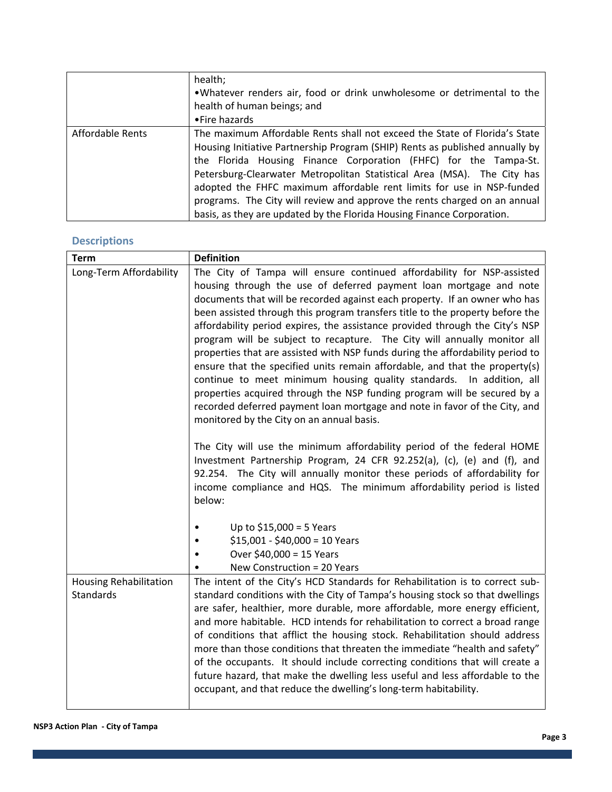|                  | health;<br>.Whatever renders air, food or drink unwholesome or detrimental to the<br>health of human beings; and<br>•Fire hazards                                                                                                                                                                                                                                                                                                                                                                                                         |
|------------------|-------------------------------------------------------------------------------------------------------------------------------------------------------------------------------------------------------------------------------------------------------------------------------------------------------------------------------------------------------------------------------------------------------------------------------------------------------------------------------------------------------------------------------------------|
| Affordable Rents | The maximum Affordable Rents shall not exceed the State of Florida's State<br>Housing Initiative Partnership Program (SHIP) Rents as published annually by<br>the Florida Housing Finance Corporation (FHFC) for the Tampa-St.<br>Petersburg-Clearwater Metropolitan Statistical Area (MSA). The City has<br>adopted the FHFC maximum affordable rent limits for use in NSP-funded<br>programs. The City will review and approve the rents charged on an annual<br>basis, as they are updated by the Florida Housing Finance Corporation. |

## **Descriptions**

| <b>Term</b>                                | <b>Definition</b>                                                                                                                                                                                                                                                                                                                                                                                                                                                                                                                                                                                                                                                                                                                                                                                                                                                                                                       |
|--------------------------------------------|-------------------------------------------------------------------------------------------------------------------------------------------------------------------------------------------------------------------------------------------------------------------------------------------------------------------------------------------------------------------------------------------------------------------------------------------------------------------------------------------------------------------------------------------------------------------------------------------------------------------------------------------------------------------------------------------------------------------------------------------------------------------------------------------------------------------------------------------------------------------------------------------------------------------------|
| Long-Term Affordability                    | The City of Tampa will ensure continued affordability for NSP-assisted<br>housing through the use of deferred payment loan mortgage and note<br>documents that will be recorded against each property. If an owner who has<br>been assisted through this program transfers title to the property before the<br>affordability period expires, the assistance provided through the City's NSP<br>program will be subject to recapture. The City will annually monitor all<br>properties that are assisted with NSP funds during the affordability period to<br>ensure that the specified units remain affordable, and that the property(s)<br>continue to meet minimum housing quality standards. In addition, all<br>properties acquired through the NSP funding program will be secured by a<br>recorded deferred payment loan mortgage and note in favor of the City, and<br>monitored by the City on an annual basis. |
|                                            | The City will use the minimum affordability period of the federal HOME<br>Investment Partnership Program, 24 CFR 92.252(a), (c), (e) and (f), and<br>92.254. The City will annually monitor these periods of affordability for<br>income compliance and HQS. The minimum affordability period is listed<br>below:<br>Up to $$15,000 = 5$ Years<br>$$15,001 - $40,000 = 10$ Years                                                                                                                                                                                                                                                                                                                                                                                                                                                                                                                                        |
|                                            | Over \$40,000 = 15 Years<br>New Construction = 20 Years                                                                                                                                                                                                                                                                                                                                                                                                                                                                                                                                                                                                                                                                                                                                                                                                                                                                 |
| <b>Housing Rehabilitation</b><br>Standards | The intent of the City's HCD Standards for Rehabilitation is to correct sub-<br>standard conditions with the City of Tampa's housing stock so that dwellings<br>are safer, healthier, more durable, more affordable, more energy efficient,<br>and more habitable. HCD intends for rehabilitation to correct a broad range<br>of conditions that afflict the housing stock. Rehabilitation should address<br>more than those conditions that threaten the immediate "health and safety"<br>of the occupants. It should include correcting conditions that will create a<br>future hazard, that make the dwelling less useful and less affordable to the<br>occupant, and that reduce the dwelling's long-term habitability.                                                                                                                                                                                             |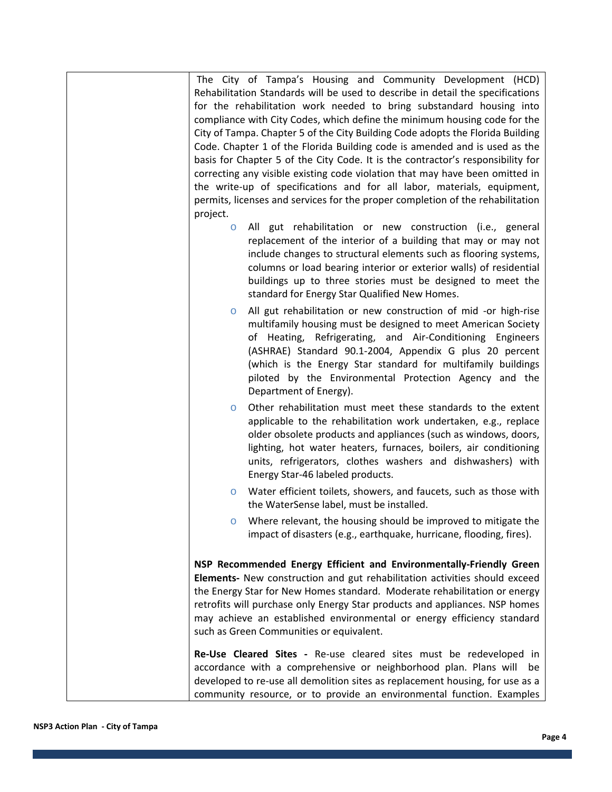| The City of Tampa's Housing and Community Development (HCD)                                                                                                                                                                                                                                                                                                                                                             |
|-------------------------------------------------------------------------------------------------------------------------------------------------------------------------------------------------------------------------------------------------------------------------------------------------------------------------------------------------------------------------------------------------------------------------|
| Rehabilitation Standards will be used to describe in detail the specifications                                                                                                                                                                                                                                                                                                                                          |
| for the rehabilitation work needed to bring substandard housing into                                                                                                                                                                                                                                                                                                                                                    |
| compliance with City Codes, which define the minimum housing code for the                                                                                                                                                                                                                                                                                                                                               |
| City of Tampa. Chapter 5 of the City Building Code adopts the Florida Building                                                                                                                                                                                                                                                                                                                                          |
| Code. Chapter 1 of the Florida Building code is amended and is used as the                                                                                                                                                                                                                                                                                                                                              |
| basis for Chapter 5 of the City Code. It is the contractor's responsibility for                                                                                                                                                                                                                                                                                                                                         |
| correcting any visible existing code violation that may have been omitted in                                                                                                                                                                                                                                                                                                                                            |
| the write-up of specifications and for all labor, materials, equipment,                                                                                                                                                                                                                                                                                                                                                 |
| permits, licenses and services for the proper completion of the rehabilitation                                                                                                                                                                                                                                                                                                                                          |
| project.                                                                                                                                                                                                                                                                                                                                                                                                                |
| All gut rehabilitation or new construction (i.e., general<br>$\circ$                                                                                                                                                                                                                                                                                                                                                    |
| replacement of the interior of a building that may or may not<br>include changes to structural elements such as flooring systems,<br>columns or load bearing interior or exterior walls) of residential<br>buildings up to three stories must be designed to meet the<br>standard for Energy Star Qualified New Homes.                                                                                                  |
| All gut rehabilitation or new construction of mid -or high-rise<br>$\circ$<br>multifamily housing must be designed to meet American Society<br>of Heating, Refrigerating, and Air-Conditioning Engineers<br>(ASHRAE) Standard 90.1-2004, Appendix G plus 20 percent<br>(which is the Energy Star standard for multifamily buildings<br>piloted by the Environmental Protection Agency and the<br>Department of Energy). |
| Other rehabilitation must meet these standards to the extent<br>$\circ$<br>applicable to the rehabilitation work undertaken, e.g., replace<br>older obsolete products and appliances (such as windows, doors,<br>lighting, hot water heaters, furnaces, boilers, air conditioning<br>units, refrigerators, clothes washers and dishwashers) with<br>Energy Star-46 labeled products.                                    |
| Water efficient toilets, showers, and faucets, such as those with<br>O<br>the WaterSense label, must be installed.                                                                                                                                                                                                                                                                                                      |
| Where relevant, the housing should be improved to mitigate the<br>impact of disasters (e.g., earthquake, hurricane, flooding, fires).                                                                                                                                                                                                                                                                                   |
| NSP Recommended Energy Efficient and Environmentally-Friendly Green                                                                                                                                                                                                                                                                                                                                                     |
| Elements- New construction and gut rehabilitation activities should exceed                                                                                                                                                                                                                                                                                                                                              |
| the Energy Star for New Homes standard. Moderate rehabilitation or energy                                                                                                                                                                                                                                                                                                                                               |
| retrofits will purchase only Energy Star products and appliances. NSP homes                                                                                                                                                                                                                                                                                                                                             |
| may achieve an established environmental or energy efficiency standard                                                                                                                                                                                                                                                                                                                                                  |
| such as Green Communities or equivalent.                                                                                                                                                                                                                                                                                                                                                                                |
|                                                                                                                                                                                                                                                                                                                                                                                                                         |
| Re-Use Cleared Sites - Re-use cleared sites must be redeveloped in<br>accordance with a comprehensive or neighborhood plan. Plans will<br>be<br>developed to re-use all demolition sites as replacement housing, for use as a                                                                                                                                                                                           |
| community resource, or to provide an environmental function. Examples                                                                                                                                                                                                                                                                                                                                                   |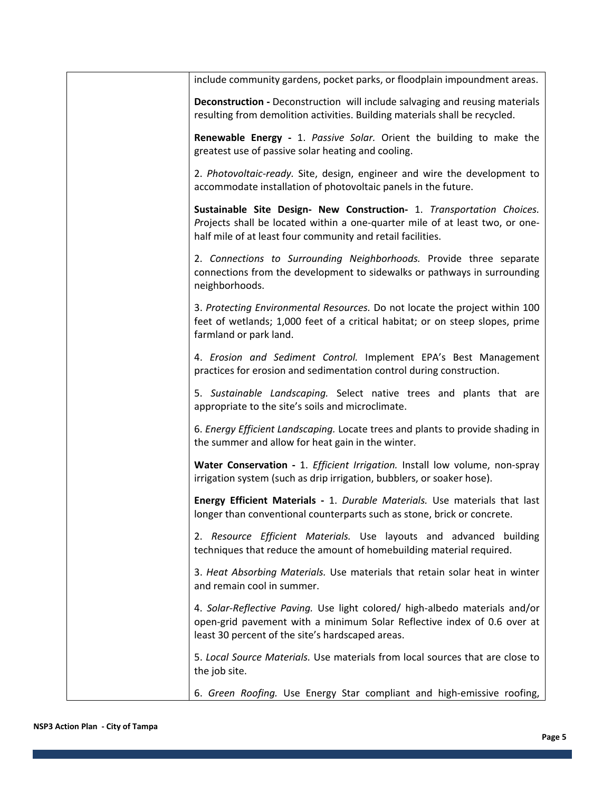| include community gardens, pocket parks, or floodplain impoundment areas.                                                                                                                                            |
|----------------------------------------------------------------------------------------------------------------------------------------------------------------------------------------------------------------------|
| Deconstruction - Deconstruction will include salvaging and reusing materials<br>resulting from demolition activities. Building materials shall be recycled.                                                          |
| Renewable Energy - 1. Passive Solar. Orient the building to make the<br>greatest use of passive solar heating and cooling.                                                                                           |
| 2. Photovoltaic-ready. Site, design, engineer and wire the development to<br>accommodate installation of photovoltaic panels in the future.                                                                          |
| Sustainable Site Design- New Construction- 1. Transportation Choices.<br>Projects shall be located within a one-quarter mile of at least two, or one-<br>half mile of at least four community and retail facilities. |
| 2. Connections to Surrounding Neighborhoods. Provide three separate<br>connections from the development to sidewalks or pathways in surrounding<br>neighborhoods.                                                    |
| 3. Protecting Environmental Resources. Do not locate the project within 100<br>feet of wetlands; 1,000 feet of a critical habitat; or on steep slopes, prime<br>farmland or park land.                               |
| 4. Erosion and Sediment Control. Implement EPA's Best Management<br>practices for erosion and sedimentation control during construction.                                                                             |
| 5. Sustainable Landscaping. Select native trees and plants that are<br>appropriate to the site's soils and microclimate.                                                                                             |
| 6. Energy Efficient Landscaping. Locate trees and plants to provide shading in<br>the summer and allow for heat gain in the winter.                                                                                  |
| Water Conservation - 1. Efficient Irrigation. Install low volume, non-spray<br>irrigation system (such as drip irrigation, bubblers, or soaker hose).                                                                |
| Energy Efficient Materials - 1. Durable Materials. Use materials that last<br>longer than conventional counterparts such as stone, brick or concrete.                                                                |
| 2. Resource Efficient Materials. Use layouts and advanced building<br>techniques that reduce the amount of homebuilding material required.                                                                           |
| 3. Heat Absorbing Materials. Use materials that retain solar heat in winter<br>and remain cool in summer.                                                                                                            |
| 4. Solar-Reflective Paving. Use light colored/ high-albedo materials and/or<br>open-grid pavement with a minimum Solar Reflective index of 0.6 over at<br>least 30 percent of the site's hardscaped areas.           |
| 5. Local Source Materials. Use materials from local sources that are close to<br>the job site.                                                                                                                       |
| 6. Green Roofing. Use Energy Star compliant and high-emissive roofing,                                                                                                                                               |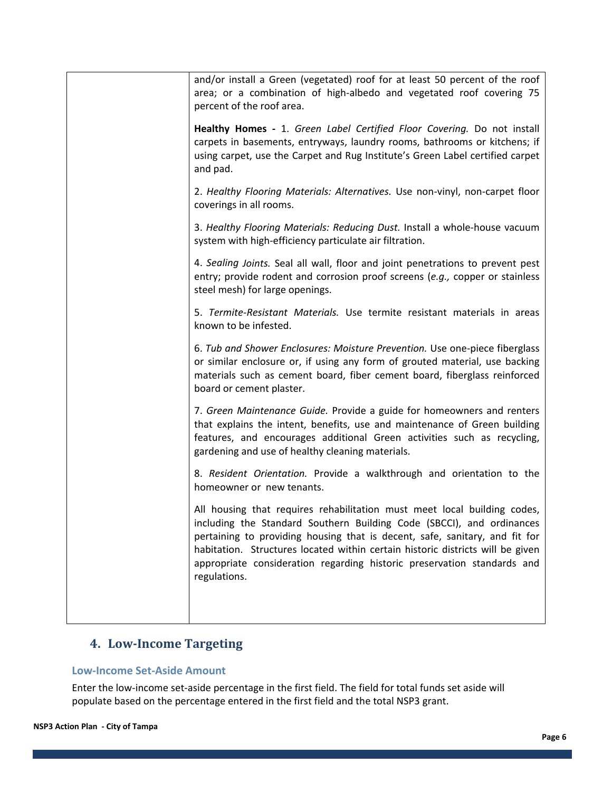| and/or install a Green (vegetated) roof for at least 50 percent of the roof<br>area; or a combination of high-albedo and vegetated roof covering 75<br>percent of the roof area.                                                                                                                                                                                                                              |
|---------------------------------------------------------------------------------------------------------------------------------------------------------------------------------------------------------------------------------------------------------------------------------------------------------------------------------------------------------------------------------------------------------------|
| Healthy Homes - 1. Green Label Certified Floor Covering. Do not install<br>carpets in basements, entryways, laundry rooms, bathrooms or kitchens; if<br>using carpet, use the Carpet and Rug Institute's Green Label certified carpet<br>and pad.                                                                                                                                                             |
| 2. Healthy Flooring Materials: Alternatives. Use non-vinyl, non-carpet floor<br>coverings in all rooms.                                                                                                                                                                                                                                                                                                       |
| 3. Healthy Flooring Materials: Reducing Dust. Install a whole-house vacuum<br>system with high-efficiency particulate air filtration.                                                                                                                                                                                                                                                                         |
| 4. Sealing Joints. Seal all wall, floor and joint penetrations to prevent pest<br>entry; provide rodent and corrosion proof screens (e.g., copper or stainless<br>steel mesh) for large openings.                                                                                                                                                                                                             |
| 5. Termite-Resistant Materials. Use termite resistant materials in areas<br>known to be infested.                                                                                                                                                                                                                                                                                                             |
| 6. Tub and Shower Enclosures: Moisture Prevention. Use one-piece fiberglass<br>or similar enclosure or, if using any form of grouted material, use backing<br>materials such as cement board, fiber cement board, fiberglass reinforced<br>board or cement plaster.                                                                                                                                           |
| 7. Green Maintenance Guide. Provide a guide for homeowners and renters<br>that explains the intent, benefits, use and maintenance of Green building<br>features, and encourages additional Green activities such as recycling,<br>gardening and use of healthy cleaning materials.                                                                                                                            |
| 8. Resident Orientation. Provide a walkthrough and orientation to the<br>homeowner or new tenants.                                                                                                                                                                                                                                                                                                            |
| All housing that requires rehabilitation must meet local building codes,<br>including the Standard Southern Building Code (SBCCI), and ordinances<br>pertaining to providing housing that is decent, safe, sanitary, and fit for<br>habitation. Structures located within certain historic districts will be given<br>appropriate consideration regarding historic preservation standards and<br>regulations. |
|                                                                                                                                                                                                                                                                                                                                                                                                               |

## **4. LowIncome Targeting**

#### **Low‐Income Set‐Aside Amount**

Enter the low‐income set‐aside percentage in the first field. The field for total funds set aside will populate based on the percentage entered in the first field and the total NSP3 grant.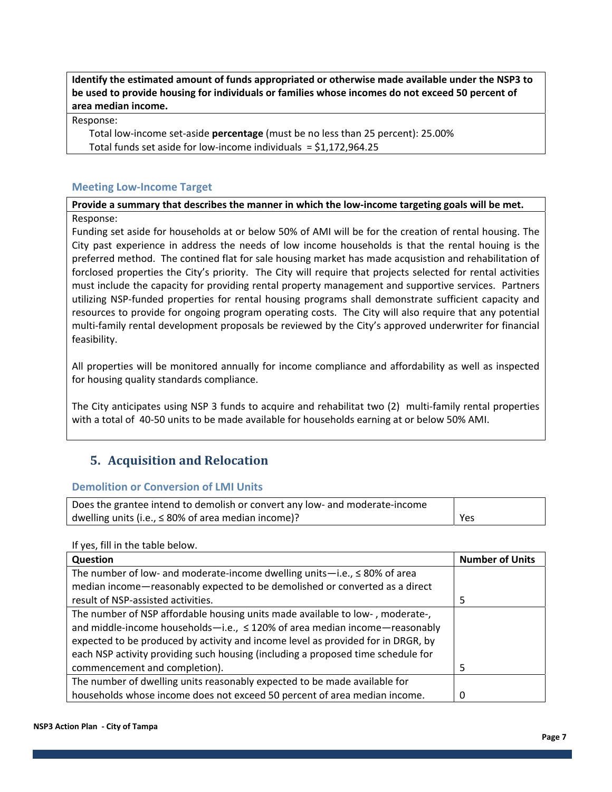**Identify the estimated amount of funds appropriated or otherwise made available under the NSP3 to be used to provide housing for individuals or families whose incomes do not exceed 50 percent of area median income.** 

Response:

 Total low‐income set‐aside **percentage** (must be no less than 25 percent): 25.00% Total funds set aside for low-income individuals  $=$  \$1,172,964.25

#### **Meeting Low‐Income Target**

Provide a summary that describes the manner in which the low-income targeting goals will be met. Response:

Funding set aside for households at or below 50% of AMI will be for the creation of rental housing. The City past experience in address the needs of low income households is that the rental houing is the preferred method. The contined flat for sale housing market has made acqusistion and rehabilitation of forclosed properties the City's priority. The City will require that projects selected for rental activities must include the capacity for providing rental property management and supportive services. Partners utilizing NSP‐funded properties for rental housing programs shall demonstrate sufficient capacity and resources to provide for ongoing program operating costs. The City will also require that any potential multi-family rental development proposals be reviewed by the City's approved underwriter for financial feasibility.

All properties will be monitored annually for income compliance and affordability as well as inspected for housing quality standards compliance.

The City anticipates using NSP 3 funds to acquire and rehabilitat two (2) multi‐family rental properties with a total of 40‐50 units to be made available for households earning at or below 50% AMI.

### **5. Acquisition and Relocation**

#### **Demolition or Conversion of LMI Units**

| Does the grantee intend to demolish or convert any low- and moderate-income |     |
|-----------------------------------------------------------------------------|-----|
| dwelling units (i.e., $\leq 80\%$ of area median income)?                   | Yes |

#### If yes, fill in the table below.

| Question                                                                         | <b>Number of Units</b> |
|----------------------------------------------------------------------------------|------------------------|
| The number of low- and moderate-income dwelling units-i.e., $\leq 80\%$ of area  |                        |
| median income-reasonably expected to be demolished or converted as a direct      |                        |
| result of NSP-assisted activities.                                               | 5                      |
| The number of NSP affordable housing units made available to low-, moderate-,    |                        |
| and middle-income households-i.e., $\leq$ 120% of area median income-reasonably  |                        |
| expected to be produced by activity and income level as provided for in DRGR, by |                        |
| each NSP activity providing such housing (including a proposed time schedule for |                        |
| commencement and completion).                                                    |                        |
| The number of dwelling units reasonably expected to be made available for        |                        |
| households whose income does not exceed 50 percent of area median income.        |                        |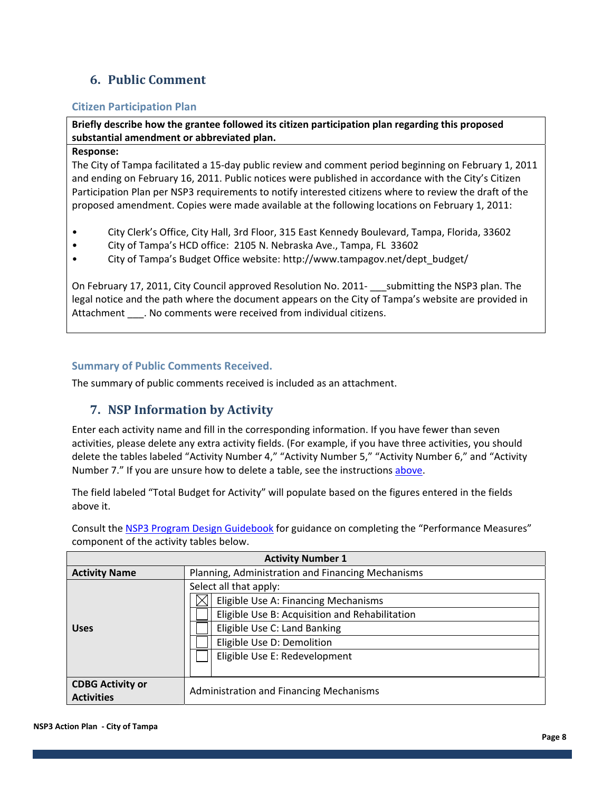## **6. Public Comment**

#### **Citizen Participation Plan**

**Briefly describe how the grantee followed its citizen participation plan regarding this proposed substantial amendment or abbreviated plan.** 

#### **Response:**

The City of Tampa facilitated a 15‐day public review and comment period beginning on February 1, 2011 and ending on February 16, 2011. Public notices were published in accordance with the City's Citizen Participation Plan per NSP3 requirements to notify interested citizens where to review the draft of the proposed amendment. Copies were made available at the following locations on February 1, 2011:

- City Clerk's Office, City Hall, 3rd Floor, 315 East Kennedy Boulevard, Tampa, Florida, 33602
- City of Tampa's HCD office: 2105 N. Nebraska Ave., Tampa, FL 33602
- City of Tampa's Budget Office website: http://www.tampagov.net/dept\_budget/

On February 17, 2011, City Council approved Resolution No. 2011- submitting the NSP3 plan. The legal notice and the path where the document appears on the City of Tampa's website are provided in Attachment \_\_\_\_. No comments were received from individual citizens.

#### **Summary of Public Comments Received.**

The summary of public comments received is included as an attachment.

### **7. NSP Information by Activity**

Enter each activity name and fill in the corresponding information. If you have fewer than seven activities, please delete any extra activity fields. (For example, if you have three activities, you should delete the tables labeled "Activity Number 4," "Activity Number 5," "Activity Number 6," and "Activity Number 7." If you are unsure how to delete a table, see the instructions above.

The field labeled "Total Budget for Activity" will populate based on the figures entered in the fields above it.

Consult the NSP3 Program Design Guidebook for guidance on completing the "Performance Measures" component of the activity tables below.

| <b>Activity Number 1</b> |                                                   |  |
|--------------------------|---------------------------------------------------|--|
| <b>Activity Name</b>     | Planning, Administration and Financing Mechanisms |  |
|                          | Select all that apply:                            |  |
|                          | Eligible Use A: Financing Mechanisms              |  |
|                          | Eligible Use B: Acquisition and Rehabilitation    |  |
| <b>Uses</b>              | Eligible Use C: Land Banking                      |  |
|                          | Eligible Use D: Demolition                        |  |
|                          | Eligible Use E: Redevelopment                     |  |
|                          |                                                   |  |
| <b>CDBG Activity or</b>  |                                                   |  |
| <b>Activities</b>        | <b>Administration and Financing Mechanisms</b>    |  |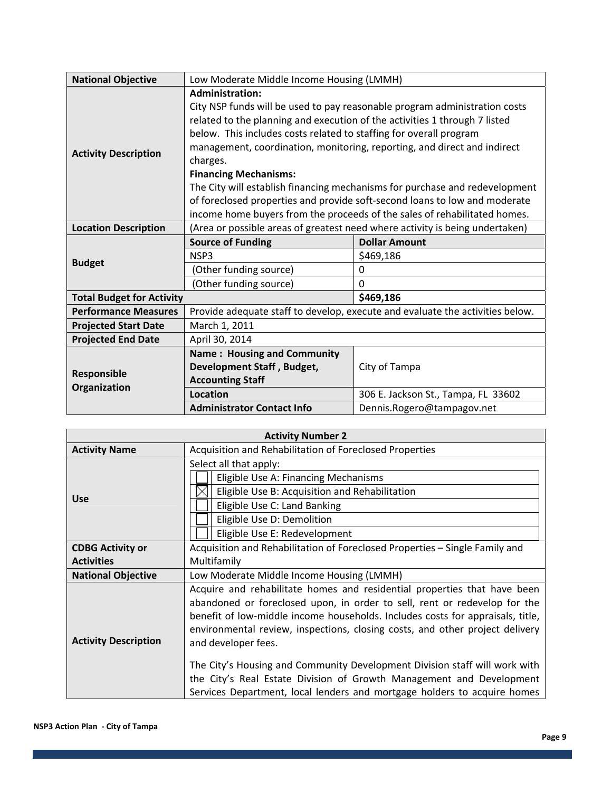| <b>National Objective</b>        | Low Moderate Middle Income Housing (LMMH)                                                                                                                                                                                                                                                                                                                                                                                                                                                                                                                                                                                  |                                                      |
|----------------------------------|----------------------------------------------------------------------------------------------------------------------------------------------------------------------------------------------------------------------------------------------------------------------------------------------------------------------------------------------------------------------------------------------------------------------------------------------------------------------------------------------------------------------------------------------------------------------------------------------------------------------------|------------------------------------------------------|
| <b>Activity Description</b>      | <b>Administration:</b><br>City NSP funds will be used to pay reasonable program administration costs<br>related to the planning and execution of the activities 1 through 7 listed<br>below. This includes costs related to staffing for overall program<br>management, coordination, monitoring, reporting, and direct and indirect<br>charges.<br><b>Financing Mechanisms:</b><br>The City will establish financing mechanisms for purchase and redevelopment<br>of foreclosed properties and provide soft-second loans to low and moderate<br>income home buyers from the proceeds of the sales of rehabilitated homes. |                                                      |
| <b>Location Description</b>      | (Area or possible areas of greatest need where activity is being undertaken)                                                                                                                                                                                                                                                                                                                                                                                                                                                                                                                                               |                                                      |
| <b>Budget</b>                    | <b>Source of Funding</b><br>NSP3<br>(Other funding source)<br>(Other funding source)                                                                                                                                                                                                                                                                                                                                                                                                                                                                                                                                       | <b>Dollar Amount</b><br>\$469,186<br>0<br>0          |
| <b>Total Budget for Activity</b> |                                                                                                                                                                                                                                                                                                                                                                                                                                                                                                                                                                                                                            | \$469,186                                            |
| <b>Performance Measures</b>      | Provide adequate staff to develop, execute and evaluate the activities below.                                                                                                                                                                                                                                                                                                                                                                                                                                                                                                                                              |                                                      |
| <b>Projected Start Date</b>      | March 1, 2011                                                                                                                                                                                                                                                                                                                                                                                                                                                                                                                                                                                                              |                                                      |
| <b>Projected End Date</b>        | April 30, 2014                                                                                                                                                                                                                                                                                                                                                                                                                                                                                                                                                                                                             |                                                      |
| Responsible<br>Organization      | <b>Name: Housing and Community</b><br>Development Staff, Budget,<br><b>Accounting Staff</b><br><b>Location</b>                                                                                                                                                                                                                                                                                                                                                                                                                                                                                                             | City of Tampa<br>306 E. Jackson St., Tampa, FL 33602 |
|                                  | <b>Administrator Contact Info</b>                                                                                                                                                                                                                                                                                                                                                                                                                                                                                                                                                                                          | Dennis.Rogero@tampagov.net                           |

| <b>Activity Number 2</b>    |                                                                                                                                                                |  |
|-----------------------------|----------------------------------------------------------------------------------------------------------------------------------------------------------------|--|
| <b>Activity Name</b>        | Acquisition and Rehabilitation of Foreclosed Properties                                                                                                        |  |
|                             | Select all that apply:                                                                                                                                         |  |
|                             | Eligible Use A: Financing Mechanisms                                                                                                                           |  |
| <b>Use</b>                  | Eligible Use B: Acquisition and Rehabilitation                                                                                                                 |  |
|                             | Eligible Use C: Land Banking                                                                                                                                   |  |
|                             | Eligible Use D: Demolition                                                                                                                                     |  |
|                             | Eligible Use E: Redevelopment                                                                                                                                  |  |
| <b>CDBG Activity or</b>     | Acquisition and Rehabilitation of Foreclosed Properties - Single Family and                                                                                    |  |
| <b>Activities</b>           | Multifamily                                                                                                                                                    |  |
| <b>National Objective</b>   | Low Moderate Middle Income Housing (LMMH)                                                                                                                      |  |
|                             | Acquire and rehabilitate homes and residential properties that have been                                                                                       |  |
|                             | abandoned or foreclosed upon, in order to sell, rent or redevelop for the                                                                                      |  |
|                             | benefit of low-middle income households. Includes costs for appraisals, title,<br>environmental review, inspections, closing costs, and other project delivery |  |
| <b>Activity Description</b> | and developer fees.                                                                                                                                            |  |
|                             |                                                                                                                                                                |  |
|                             | The City's Housing and Community Development Division staff will work with                                                                                     |  |
|                             | the City's Real Estate Division of Growth Management and Development                                                                                           |  |
|                             | Services Department, local lenders and mortgage holders to acquire homes                                                                                       |  |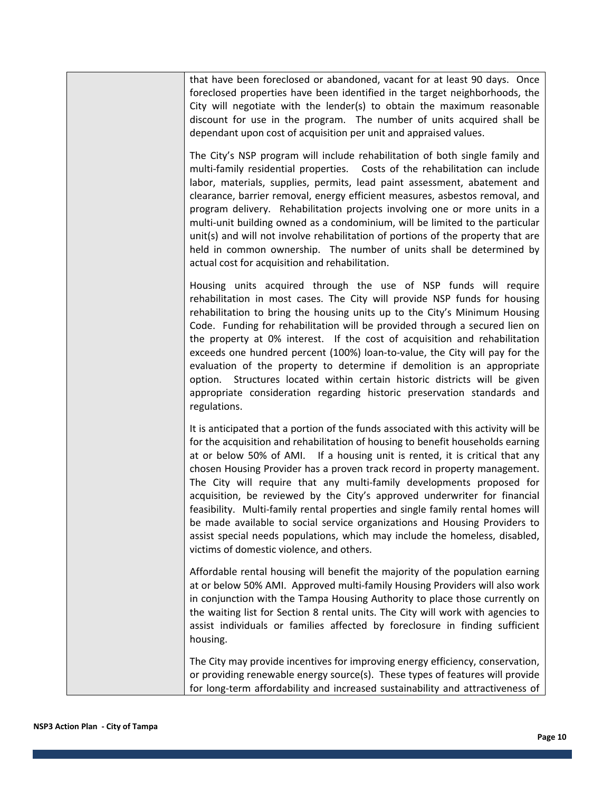that have been foreclosed or abandoned, vacant for at least 90 days. Once foreclosed properties have been identified in the target neighborhoods, the City will negotiate with the lender(s) to obtain the maximum reasonable discount for use in the program. The number of units acquired shall be dependant upon cost of acquisition per unit and appraised values.

The City's NSP program will include rehabilitation of both single family and multi-family residential properties. Costs of the rehabilitation can include labor, materials, supplies, permits, lead paint assessment, abatement and clearance, barrier removal, energy efficient measures, asbestos removal, and program delivery. Rehabilitation projects involving one or more units in a multi‐unit building owned as a condominium, will be limited to the particular unit(s) and will not involve rehabilitation of portions of the property that are held in common ownership. The number of units shall be determined by actual cost for acquisition and rehabilitation.

Housing units acquired through the use of NSP funds will require rehabilitation in most cases. The City will provide NSP funds for housing rehabilitation to bring the housing units up to the City's Minimum Housing Code. Funding for rehabilitation will be provided through a secured lien on the property at 0% interest. If the cost of acquisition and rehabilitation exceeds one hundred percent (100%) loan‐to‐value, the City will pay for the evaluation of the property to determine if demolition is an appropriate option. Structures located within certain historic districts will be given appropriate consideration regarding historic preservation standards and regulations.

It is anticipated that a portion of the funds associated with this activity will be for the acquisition and rehabilitation of housing to benefit households earning at or below 50% of AMI. If a housing unit is rented, it is critical that any chosen Housing Provider has a proven track record in property management. The City will require that any multi‐family developments proposed for acquisition, be reviewed by the City's approved underwriter for financial feasibility. Multi‐family rental properties and single family rental homes will be made available to social service organizations and Housing Providers to assist special needs populations, which may include the homeless, disabled, victims of domestic violence, and others.

Affordable rental housing will benefit the majority of the population earning at or below 50% AMI. Approved multi‐family Housing Providers will also work in conjunction with the Tampa Housing Authority to place those currently on the waiting list for Section 8 rental units. The City will work with agencies to assist individuals or families affected by foreclosure in finding sufficient housing.

The City may provide incentives for improving energy efficiency, conservation, or providing renewable energy source(s). These types of features will provide for long-term affordability and increased sustainability and attractiveness of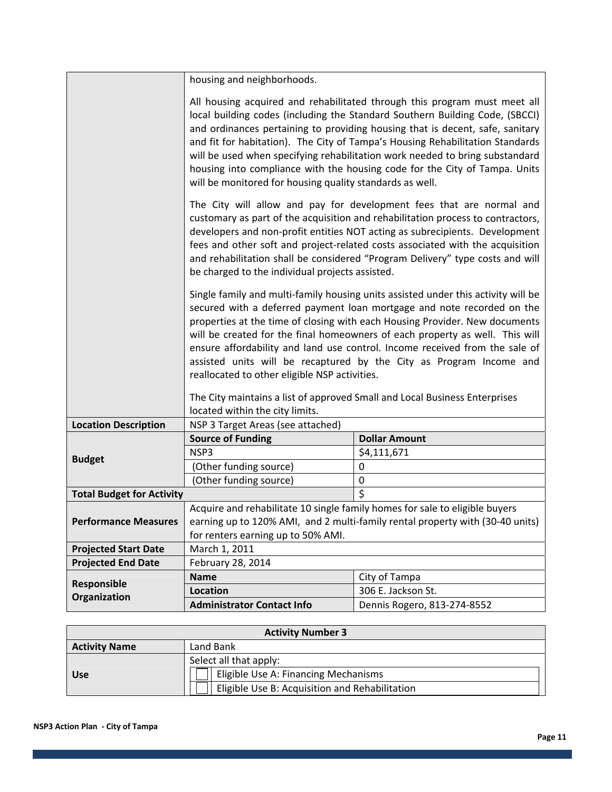housing and neighborhoods.

|                                  | All housing acquired and rehabilitated through this program must meet all<br>local building codes (including the Standard Southern Building Code, (SBCCI)<br>and ordinances pertaining to providing housing that is decent, safe, sanitary<br>and fit for habitation). The City of Tampa's Housing Rehabilitation Standards<br>will be used when specifying rehabilitation work needed to bring substandard<br>housing into compliance with the housing code for the City of Tampa. Units<br>will be monitored for housing quality standards as well.                                                                                              |                             |  |
|----------------------------------|----------------------------------------------------------------------------------------------------------------------------------------------------------------------------------------------------------------------------------------------------------------------------------------------------------------------------------------------------------------------------------------------------------------------------------------------------------------------------------------------------------------------------------------------------------------------------------------------------------------------------------------------------|-----------------------------|--|
|                                  | The City will allow and pay for development fees that are normal and<br>customary as part of the acquisition and rehabilitation process to contractors,<br>developers and non-profit entities NOT acting as subrecipients. Development<br>fees and other soft and project-related costs associated with the acquisition<br>and rehabilitation shall be considered "Program Delivery" type costs and will<br>be charged to the individual projects assisted.                                                                                                                                                                                        |                             |  |
|                                  | Single family and multi-family housing units assisted under this activity will be<br>secured with a deferred payment loan mortgage and note recorded on the<br>properties at the time of closing with each Housing Provider. New documents<br>will be created for the final homeowners of each property as well. This will<br>ensure affordability and land use control. Income received from the sale of<br>assisted units will be recaptured by the City as Program Income and<br>reallocated to other eligible NSP activities.<br>The City maintains a list of approved Small and Local Business Enterprises<br>located within the city limits. |                             |  |
| <b>Location Description</b>      | NSP 3 Target Areas (see attached)                                                                                                                                                                                                                                                                                                                                                                                                                                                                                                                                                                                                                  |                             |  |
|                                  | <b>Source of Funding</b>                                                                                                                                                                                                                                                                                                                                                                                                                                                                                                                                                                                                                           | <b>Dollar Amount</b>        |  |
| <b>Budget</b>                    | NSP3                                                                                                                                                                                                                                                                                                                                                                                                                                                                                                                                                                                                                                               | \$4,111,671                 |  |
|                                  | (Other funding source)                                                                                                                                                                                                                                                                                                                                                                                                                                                                                                                                                                                                                             | $\pmb{0}$                   |  |
|                                  | (Other funding source)                                                                                                                                                                                                                                                                                                                                                                                                                                                                                                                                                                                                                             | $\boldsymbol{0}$            |  |
| <b>Total Budget for Activity</b> |                                                                                                                                                                                                                                                                                                                                                                                                                                                                                                                                                                                                                                                    | $\overline{\mathsf{S}}$     |  |
| <b>Performance Measures</b>      | Acquire and rehabilitate 10 single family homes for sale to eligible buyers<br>earning up to 120% AMI, and 2 multi-family rental property with (30-40 units)<br>for renters earning up to 50% AMI.                                                                                                                                                                                                                                                                                                                                                                                                                                                 |                             |  |
| <b>Projected Start Date</b>      | March 1, 2011                                                                                                                                                                                                                                                                                                                                                                                                                                                                                                                                                                                                                                      |                             |  |
| <b>Projected End Date</b>        | February 28, 2014                                                                                                                                                                                                                                                                                                                                                                                                                                                                                                                                                                                                                                  |                             |  |
|                                  | <b>Name</b>                                                                                                                                                                                                                                                                                                                                                                                                                                                                                                                                                                                                                                        | City of Tampa               |  |
| Responsible                      | <b>Location</b>                                                                                                                                                                                                                                                                                                                                                                                                                                                                                                                                                                                                                                    | 306 E. Jackson St.          |  |
| Organization                     | <b>Administrator Contact Info</b>                                                                                                                                                                                                                                                                                                                                                                                                                                                                                                                                                                                                                  | Dennis Rogero, 813-274-8552 |  |

| <b>Activity Number 3</b> |                                                |  |
|--------------------------|------------------------------------------------|--|
| <b>Activity Name</b>     | Land Bank                                      |  |
|                          | Select all that apply:                         |  |
| <b>Use</b>               | Eligible Use A: Financing Mechanisms           |  |
|                          | Eligible Use B: Acquisition and Rehabilitation |  |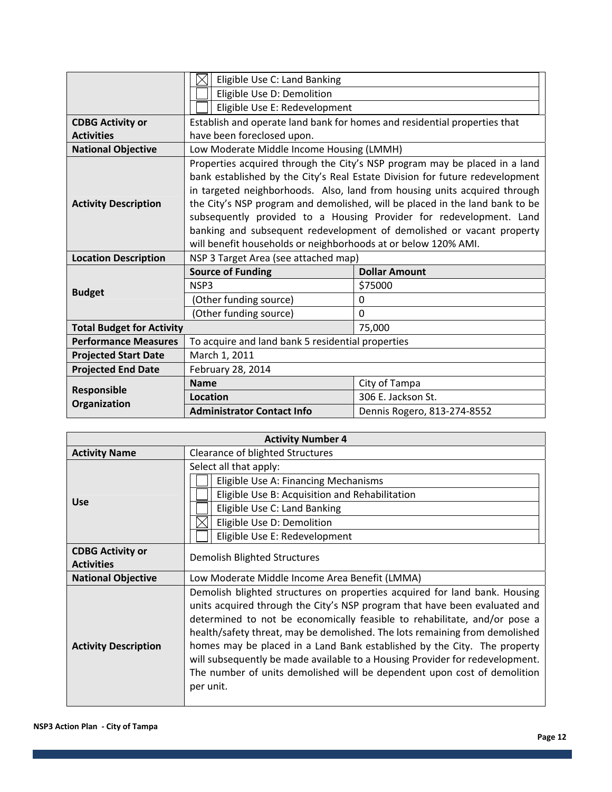|                                  | Eligible Use C: Land Banking                                                                                                                                                                                                                                                                                                                                                                                                                                                                                                              |                                                                           |  |
|----------------------------------|-------------------------------------------------------------------------------------------------------------------------------------------------------------------------------------------------------------------------------------------------------------------------------------------------------------------------------------------------------------------------------------------------------------------------------------------------------------------------------------------------------------------------------------------|---------------------------------------------------------------------------|--|
|                                  | Eligible Use D: Demolition                                                                                                                                                                                                                                                                                                                                                                                                                                                                                                                |                                                                           |  |
|                                  | Eligible Use E: Redevelopment                                                                                                                                                                                                                                                                                                                                                                                                                                                                                                             |                                                                           |  |
| <b>CDBG Activity or</b>          |                                                                                                                                                                                                                                                                                                                                                                                                                                                                                                                                           | Establish and operate land bank for homes and residential properties that |  |
| <b>Activities</b>                | have been foreclosed upon.                                                                                                                                                                                                                                                                                                                                                                                                                                                                                                                |                                                                           |  |
| <b>National Objective</b>        | Low Moderate Middle Income Housing (LMMH)                                                                                                                                                                                                                                                                                                                                                                                                                                                                                                 |                                                                           |  |
| <b>Activity Description</b>      | Properties acquired through the City's NSP program may be placed in a land<br>bank established by the City's Real Estate Division for future redevelopment<br>in targeted neighborhoods. Also, land from housing units acquired through<br>the City's NSP program and demolished, will be placed in the land bank to be<br>subsequently provided to a Housing Provider for redevelopment. Land<br>banking and subsequent redevelopment of demolished or vacant property<br>will benefit households or neighborhoods at or below 120% AMI. |                                                                           |  |
| <b>Location Description</b>      | NSP 3 Target Area (see attached map)                                                                                                                                                                                                                                                                                                                                                                                                                                                                                                      |                                                                           |  |
|                                  | <b>Source of Funding</b>                                                                                                                                                                                                                                                                                                                                                                                                                                                                                                                  | <b>Dollar Amount</b>                                                      |  |
| <b>Budget</b>                    | NSP3                                                                                                                                                                                                                                                                                                                                                                                                                                                                                                                                      | \$75000                                                                   |  |
|                                  | (Other funding source)                                                                                                                                                                                                                                                                                                                                                                                                                                                                                                                    | 0                                                                         |  |
|                                  | (Other funding source)                                                                                                                                                                                                                                                                                                                                                                                                                                                                                                                    | $\Omega$                                                                  |  |
| <b>Total Budget for Activity</b> | 75,000                                                                                                                                                                                                                                                                                                                                                                                                                                                                                                                                    |                                                                           |  |
| <b>Performance Measures</b>      | To acquire and land bank 5 residential properties                                                                                                                                                                                                                                                                                                                                                                                                                                                                                         |                                                                           |  |
| <b>Projected Start Date</b>      | March 1, 2011                                                                                                                                                                                                                                                                                                                                                                                                                                                                                                                             |                                                                           |  |
| <b>Projected End Date</b>        | February 28, 2014                                                                                                                                                                                                                                                                                                                                                                                                                                                                                                                         |                                                                           |  |
|                                  | <b>Name</b>                                                                                                                                                                                                                                                                                                                                                                                                                                                                                                                               | City of Tampa                                                             |  |
| Responsible<br>Organization      | Location                                                                                                                                                                                                                                                                                                                                                                                                                                                                                                                                  | 306 E. Jackson St.                                                        |  |
|                                  | <b>Administrator Contact Info</b>                                                                                                                                                                                                                                                                                                                                                                                                                                                                                                         | Dennis Rogero, 813-274-8552                                               |  |

| <b>Activity Number 4</b>                     |                                                                                                                                                                                                                                                                                                                                                                                                                                                                                                                                                                           |  |  |
|----------------------------------------------|---------------------------------------------------------------------------------------------------------------------------------------------------------------------------------------------------------------------------------------------------------------------------------------------------------------------------------------------------------------------------------------------------------------------------------------------------------------------------------------------------------------------------------------------------------------------------|--|--|
| <b>Activity Name</b>                         | Clearance of blighted Structures                                                                                                                                                                                                                                                                                                                                                                                                                                                                                                                                          |  |  |
| <b>Use</b>                                   | Select all that apply:<br>Eligible Use A: Financing Mechanisms<br>Eligible Use B: Acquisition and Rehabilitation<br>Eligible Use C: Land Banking<br>Eligible Use D: Demolition<br>Eligible Use E: Redevelopment                                                                                                                                                                                                                                                                                                                                                           |  |  |
| <b>CDBG Activity or</b><br><b>Activities</b> | <b>Demolish Blighted Structures</b>                                                                                                                                                                                                                                                                                                                                                                                                                                                                                                                                       |  |  |
| <b>National Objective</b>                    | Low Moderate Middle Income Area Benefit (LMMA)                                                                                                                                                                                                                                                                                                                                                                                                                                                                                                                            |  |  |
| <b>Activity Description</b>                  | Demolish blighted structures on properties acquired for land bank. Housing<br>units acquired through the City's NSP program that have been evaluated and<br>determined to not be economically feasible to rehabilitate, and/or pose a<br>health/safety threat, may be demolished. The lots remaining from demolished<br>homes may be placed in a Land Bank established by the City. The property<br>will subsequently be made available to a Housing Provider for redevelopment.<br>The number of units demolished will be dependent upon cost of demolition<br>per unit. |  |  |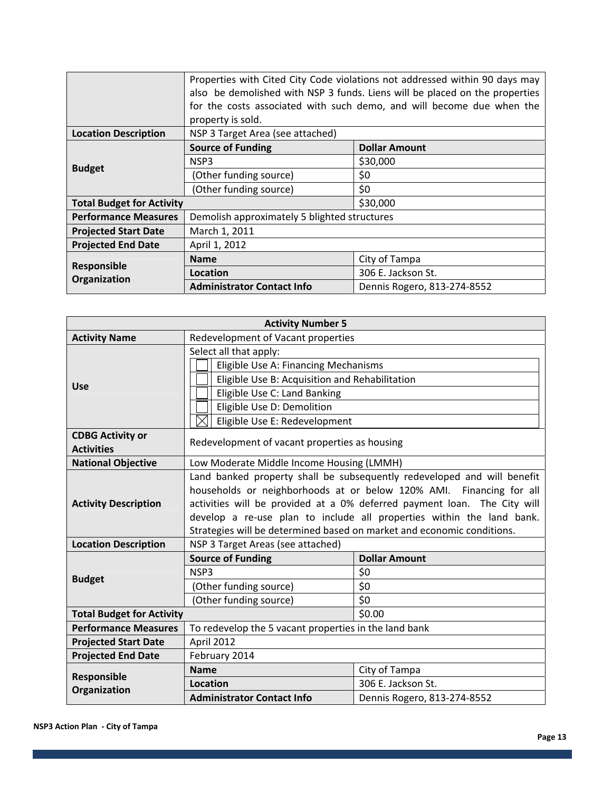|                                  | Properties with Cited City Code violations not addressed within 90 days may<br>also be demolished with NSP 3 funds. Liens will be placed on the properties<br>for the costs associated with such demo, and will become due when the<br>property is sold. |                             |  |
|----------------------------------|----------------------------------------------------------------------------------------------------------------------------------------------------------------------------------------------------------------------------------------------------------|-----------------------------|--|
| <b>Location Description</b>      | NSP 3 Target Area (see attached)                                                                                                                                                                                                                         |                             |  |
| <b>Budget</b>                    | <b>Source of Funding</b>                                                                                                                                                                                                                                 | <b>Dollar Amount</b>        |  |
|                                  | NSP3                                                                                                                                                                                                                                                     | \$30,000                    |  |
|                                  | (Other funding source)                                                                                                                                                                                                                                   | \$0                         |  |
|                                  | (Other funding source)                                                                                                                                                                                                                                   | \$0                         |  |
| <b>Total Budget for Activity</b> |                                                                                                                                                                                                                                                          | \$30,000                    |  |
| <b>Performance Measures</b>      | Demolish approximately 5 blighted structures                                                                                                                                                                                                             |                             |  |
| <b>Projected Start Date</b>      | March 1, 2011                                                                                                                                                                                                                                            |                             |  |
| <b>Projected End Date</b>        | April 1, 2012                                                                                                                                                                                                                                            |                             |  |
| Responsible                      | <b>Name</b>                                                                                                                                                                                                                                              | City of Tampa               |  |
|                                  | Location                                                                                                                                                                                                                                                 | 306 E. Jackson St.          |  |
| Organization                     | <b>Administrator Contact Info</b>                                                                                                                                                                                                                        | Dennis Rogero, 813-274-8552 |  |

| <b>Activity Number 5</b>         |                                                                          |                                                                         |
|----------------------------------|--------------------------------------------------------------------------|-------------------------------------------------------------------------|
| <b>Activity Name</b>             | Redevelopment of Vacant properties                                       |                                                                         |
|                                  | Select all that apply:                                                   |                                                                         |
|                                  | Eligible Use A: Financing Mechanisms                                     |                                                                         |
| <b>Use</b>                       | Eligible Use B: Acquisition and Rehabilitation                           |                                                                         |
|                                  | Eligible Use C: Land Banking                                             |                                                                         |
|                                  | Eligible Use D: Demolition                                               |                                                                         |
|                                  | Eligible Use E: Redevelopment                                            |                                                                         |
| <b>CDBG Activity or</b>          |                                                                          |                                                                         |
| <b>Activities</b>                | Redevelopment of vacant properties as housing                            |                                                                         |
| <b>National Objective</b>        | Low Moderate Middle Income Housing (LMMH)                                |                                                                         |
|                                  |                                                                          | Land banked property shall be subsequently redeveloped and will benefit |
|                                  | households or neighborhoods at or below 120% AMI. Financing for all      |                                                                         |
| <b>Activity Description</b>      | activities will be provided at a 0% deferred payment loan. The City will |                                                                         |
|                                  | develop a re-use plan to include all properties within the land bank.    |                                                                         |
|                                  | Strategies will be determined based on market and economic conditions.   |                                                                         |
| <b>Location Description</b>      | NSP 3 Target Areas (see attached)                                        |                                                                         |
|                                  | <b>Source of Funding</b>                                                 | <b>Dollar Amount</b>                                                    |
|                                  | NSP3                                                                     | \$0                                                                     |
| <b>Budget</b>                    | (Other funding source)                                                   | \$0                                                                     |
|                                  | (Other funding source)                                                   | \$0                                                                     |
| <b>Total Budget for Activity</b> |                                                                          | \$0.00                                                                  |
| <b>Performance Measures</b>      | To redevelop the 5 vacant properties in the land bank                    |                                                                         |
| <b>Projected Start Date</b>      | April 2012                                                               |                                                                         |
| <b>Projected End Date</b>        | February 2014                                                            |                                                                         |
|                                  | <b>Name</b>                                                              | City of Tampa                                                           |
| Responsible<br>Organization      | Location                                                                 | 306 E. Jackson St.                                                      |
|                                  | <b>Administrator Contact Info</b>                                        | Dennis Rogero, 813-274-8552                                             |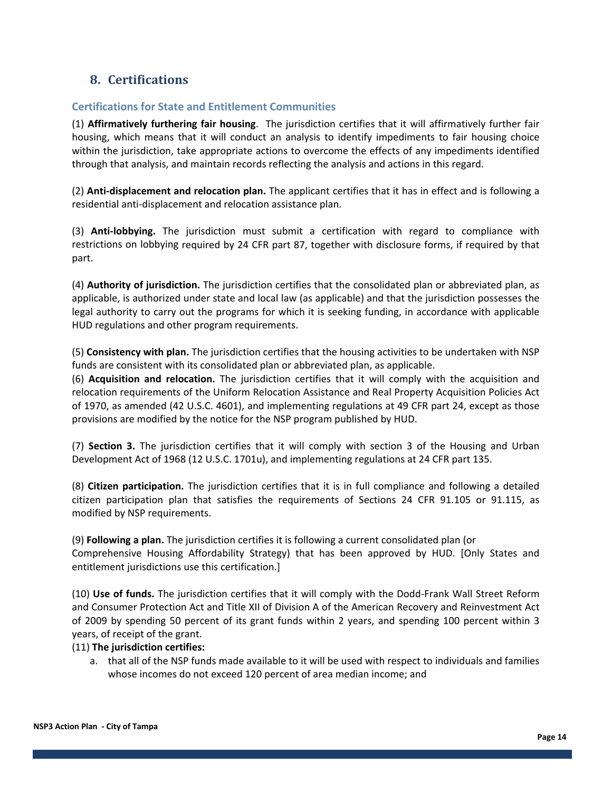## **8. Certifications**

#### **Certifications for State and Entitlement Communities**

(1) **Affirmatively furthering fair housing**. The jurisdiction certifies that it will affirmatively further fair housing, which means that it will conduct an analysis to identify impediments to fair housing choice within the jurisdiction, take appropriate actions to overcome the effects of any impediments identified through that analysis, and maintain records reflecting the analysis and actions in this regard.

(2) **Anti‐displacement and relocation plan.** The applicant certifies that it has in effect and is following a residential anti‐displacement and relocation assistance plan.

(3) **Anti‐lobbying.** The jurisdiction must submit a certification with regard to compliance with restrictions on lobbying required by 24 CFR part 87, together with disclosure forms, if required by that part.

(4) **Authority of jurisdiction.** The jurisdiction certifies that the consolidated plan or abbreviated plan, as applicable, is authorized under state and local law (as applicable) and that the jurisdiction possesses the legal authority to carry out the programs for which it is seeking funding, in accordance with applicable HUD regulations and other program requirements.

(5) **Consistency with plan.** The jurisdiction certifies that the housing activities to be undertaken with NSP funds are consistent with its consolidated plan or abbreviated plan, as applicable.

(6) **Acquisition and relocation.** The jurisdiction certifies that it will comply with the acquisition and relocation requirements of the Uniform Relocation Assistance and Real Property Acquisition Policies Act of 1970, as amended (42 U.S.C. 4601), and implementing regulations at 49 CFR part 24, except as those provisions are modified by the notice for the NSP program published by HUD.

(7) **Section 3.** The jurisdiction certifies that it will comply with section 3 of the Housing and Urban Development Act of 1968 (12 U.S.C. 1701u), and implementing regulations at 24 CFR part 135.

(8) **Citizen participation.** The jurisdiction certifies that it is in full compliance and following a detailed citizen participation plan that satisfies the requirements of Sections 24 CFR 91.105 or 91.115, as modified by NSP requirements.

(9) **Following a plan.** The jurisdiction certifies it is following a current consolidated plan (or Comprehensive Housing Affordability Strategy) that has been approved by HUD. [Only States and entitlement jurisdictions use this certification.]

(10) **Use of funds.** The jurisdiction certifies that it will comply with the Dodd‐Frank Wall Street Reform and Consumer Protection Act and Title XII of Division A of the American Recovery and Reinvestment Act of 2009 by spending 50 percent of its grant funds within 2 years, and spending 100 percent within 3 years, of receipt of the grant.

#### (11) **The jurisdiction certifies:**

a. that all of the NSP funds made available to it will be used with respect to individuals and families whose incomes do not exceed 120 percent of area median income; and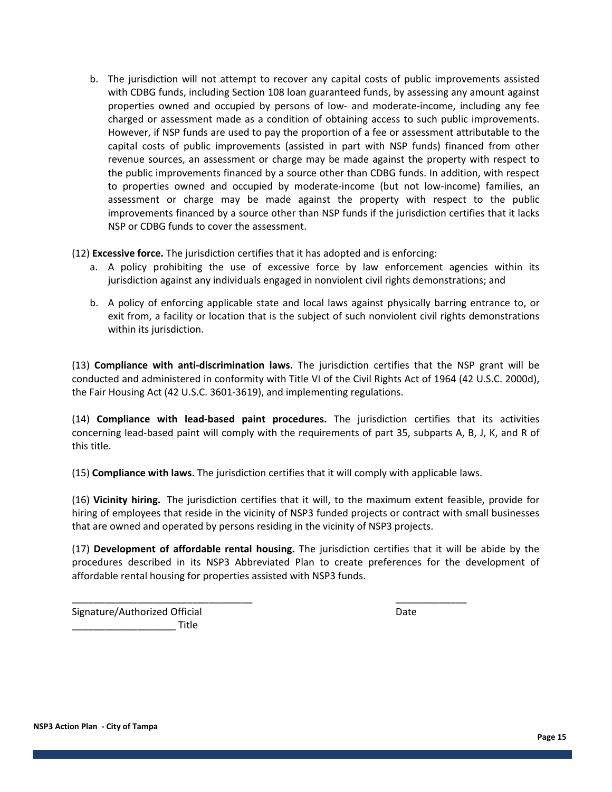b. The jurisdiction will not attempt to recover any capital costs of public improvements assisted with CDBG funds, including Section 108 loan guaranteed funds, by assessing any amount against properties owned and occupied by persons of low‐ and moderate‐income, including any fee charged or assessment made as a condition of obtaining access to such public improvements. However, if NSP funds are used to pay the proportion of a fee or assessment attributable to the capital costs of public improvements (assisted in part with NSP funds) financed from other revenue sources, an assessment or charge may be made against the property with respect to the public improvements financed by a source other than CDBG funds. In addition, with respect to properties owned and occupied by moderate‐income (but not low‐income) families, an assessment or charge may be made against the property with respect to the public improvements financed by a source other than NSP funds if the jurisdiction certifies that it lacks NSP or CDBG funds to cover the assessment.

(12) **Excessive force.** The jurisdiction certifies that it has adopted and is enforcing:

- a. A policy prohibiting the use of excessive force by law enforcement agencies within its jurisdiction against any individuals engaged in nonviolent civil rights demonstrations; and
- b. A policy of enforcing applicable state and local laws against physically barring entrance to, or exit from, a facility or location that is the subject of such nonviolent civil rights demonstrations within its jurisdiction.

(13) **Compliance with anti‐discrimination laws.** The jurisdiction certifies that the NSP grant will be conducted and administered in conformity with Title VI of the Civil Rights Act of 1964 (42 U.S.C. 2000d), the Fair Housing Act (42 U.S.C. 3601‐3619), and implementing regulations.

(14) **Compliance with lead‐based paint procedures.** The jurisdiction certifies that its activities concerning lead‐based paint will comply with the requirements of part 35, subparts A, B, J, K, and R of this title.

(15) **Compliance with laws.** The jurisdiction certifies that it will comply with applicable laws.

\_\_\_\_\_\_\_\_\_\_\_\_\_\_\_\_\_\_\_\_\_\_\_\_\_\_\_\_\_\_\_\_\_ \_\_\_\_\_\_\_\_\_\_\_\_\_

(16) **Vicinity hiring.**  The jurisdiction certifies that it will, to the maximum extent feasible, provide for hiring of employees that reside in the vicinity of NSP3 funded projects or contract with small businesses that are owned and operated by persons residing in the vicinity of NSP3 projects.

(17) **Development of affordable rental housing.** The jurisdiction certifies that it will be abide by the procedures described in its NSP3 Abbreviated Plan to create preferences for the development of affordable rental housing for properties assisted with NSP3 funds.

Signature/Authorized Official **Signature Date**  $\blacksquare$  Title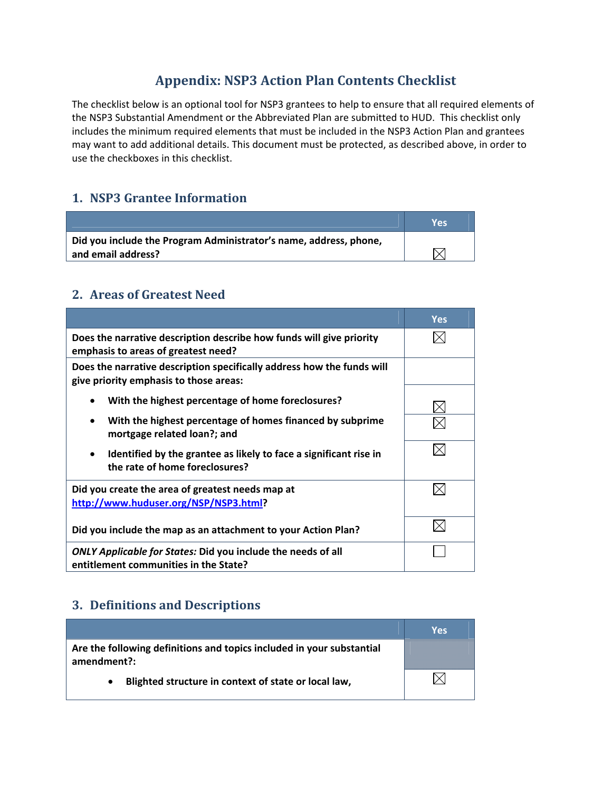# **Appendix: NSP3 Action Plan Contents Checklist**

The checklist below is an optional tool for NSP3 grantees to help to ensure that all required elements of the NSP3 Substantial Amendment or the Abbreviated Plan are submitted to HUD. This checklist only includes the minimum required elements that must be included in the NSP3 Action Plan and grantees may want to add additional details. This document must be protected, as described above, in order to use the checkboxes in this checklist.

## **1. NSP3 Grantee Information**

|                                                                   | Ves |
|-------------------------------------------------------------------|-----|
| Did you include the Program Administrator's name, address, phone, |     |
| and email address?                                                |     |

## **2. Areas of Greatest Need**

|                                                                                                                  | <b>Yes</b> |
|------------------------------------------------------------------------------------------------------------------|------------|
| Does the narrative description describe how funds will give priority<br>emphasis to areas of greatest need?      |            |
| Does the narrative description specifically address how the funds will<br>give priority emphasis to those areas: |            |
| With the highest percentage of home foreclosures?                                                                |            |
| With the highest percentage of homes financed by subprime<br>$\bullet$<br>mortgage related loan?; and            |            |
| Identified by the grantee as likely to face a significant rise in<br>the rate of home foreclosures?              |            |
| Did you create the area of greatest needs map at<br>http://www.huduser.org/NSP/NSP3.html?                        |            |
| Did you include the map as an attachment to your Action Plan?                                                    |            |
| <b>ONLY Applicable for States: Did you include the needs of all</b><br>entitlement communities in the State?     |            |

## **3. Definitions and Descriptions**

|                                                                                      | Yes |
|--------------------------------------------------------------------------------------|-----|
| Are the following definitions and topics included in your substantial<br>amendment?: |     |
| Blighted structure in context of state or local law,                                 |     |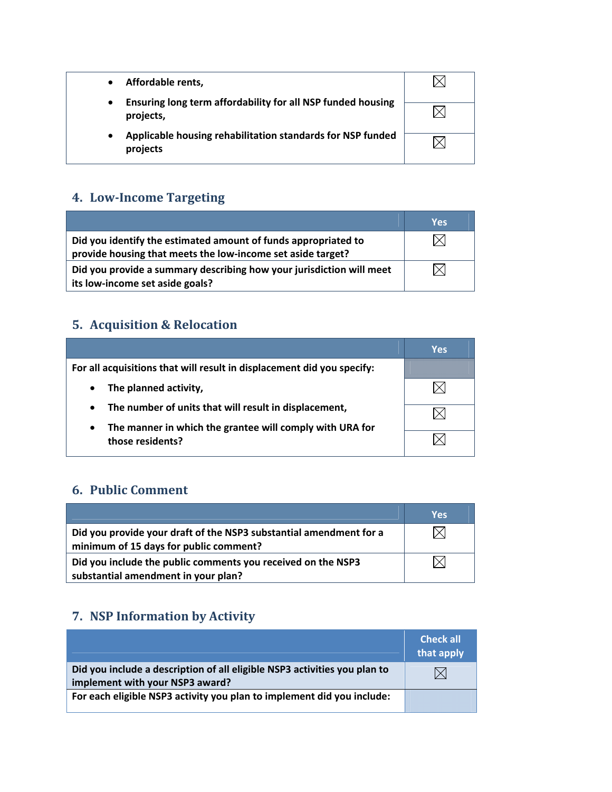| Affordable rents,                                                        |  |
|--------------------------------------------------------------------------|--|
| Ensuring long term affordability for all NSP funded housing<br>projects, |  |
| Applicable housing rehabilitation standards for NSP funded<br>projects   |  |

## **4. LowIncome Targeting**

|                                                                                                                               | Yes |
|-------------------------------------------------------------------------------------------------------------------------------|-----|
| Did you identify the estimated amount of funds appropriated to<br>provide housing that meets the low-income set aside target? |     |
| Did you provide a summary describing how your jurisdiction will meet<br>its low-income set aside goals?                       |     |

# **5. Acquisition & Relocation**

|                                                                                           | Yes |
|-------------------------------------------------------------------------------------------|-----|
| For all acquisitions that will result in displacement did you specify:                    |     |
| The planned activity,<br>$\bullet$                                                        |     |
| The number of units that will result in displacement,<br>$\bullet$                        |     |
| The manner in which the grantee will comply with URA for<br>$\bullet$<br>those residents? |     |

# **6. Public Comment**

|                                                                                                              | Yes |
|--------------------------------------------------------------------------------------------------------------|-----|
| Did you provide your draft of the NSP3 substantial amendment for a<br>minimum of 15 days for public comment? |     |
| Did you include the public comments you received on the NSP3<br>substantial amendment in your plan?          |     |
|                                                                                                              |     |

# **7. NSP Information by Activity**

|                                                                                                              | <b>Check all</b><br>that apply |
|--------------------------------------------------------------------------------------------------------------|--------------------------------|
| Did you include a description of all eligible NSP3 activities you plan to<br>implement with your NSP3 award? | $\boxtimes$                    |
| For each eligible NSP3 activity you plan to implement did you include:                                       |                                |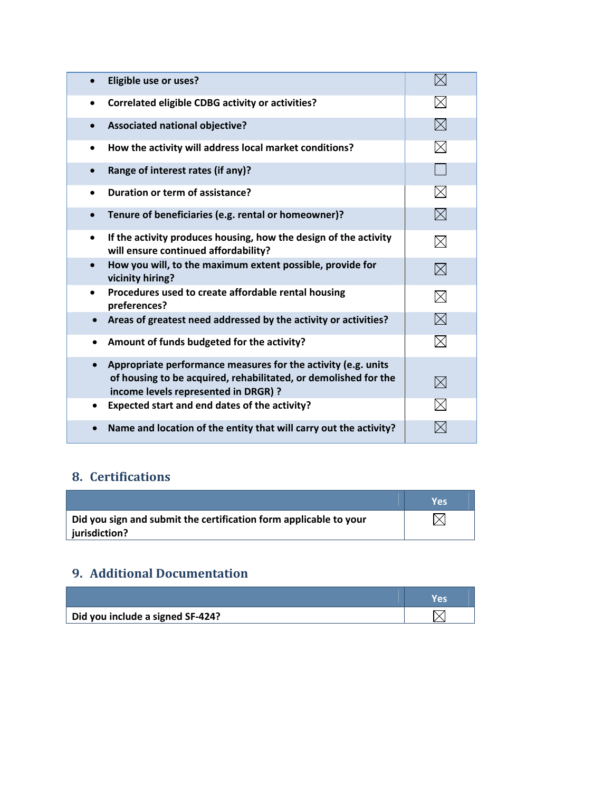| Eligible use or uses?                                                                                                                                                    | $\times$    |
|--------------------------------------------------------------------------------------------------------------------------------------------------------------------------|-------------|
| <b>Correlated eligible CDBG activity or activities?</b><br>$\bullet$                                                                                                     | $\boxtimes$ |
| <b>Associated national objective?</b>                                                                                                                                    | $\boxtimes$ |
| How the activity will address local market conditions?<br>٠                                                                                                              | $\times$    |
| Range of interest rates (if any)?                                                                                                                                        |             |
| Duration or term of assistance?<br>$\bullet$                                                                                                                             | $\boxtimes$ |
| Tenure of beneficiaries (e.g. rental or homeowner)?                                                                                                                      | $\boxtimes$ |
| If the activity produces housing, how the design of the activity<br>$\bullet$<br>will ensure continued affordability?                                                    | $\boxtimes$ |
| How you will, to the maximum extent possible, provide for<br>vicinity hiring?                                                                                            | $\boxtimes$ |
| Procedures used to create affordable rental housing<br>$\bullet$<br>preferences?                                                                                         | $\boxtimes$ |
| Areas of greatest need addressed by the activity or activities?                                                                                                          | $\boxtimes$ |
| Amount of funds budgeted for the activity?<br>$\bullet$                                                                                                                  | $\boxtimes$ |
| Appropriate performance measures for the activity (e.g. units<br>of housing to be acquired, rehabilitated, or demolished for the<br>income levels represented in DRGR) ? | $\boxtimes$ |
| Expected start and end dates of the activity?<br>٠                                                                                                                       | $\times$    |
| Name and location of the entity that will carry out the activity?                                                                                                        |             |

# **8. Certifications**

|                                                                   | Vρς |
|-------------------------------------------------------------------|-----|
| Did you sign and submit the certification form applicable to your |     |
| jurisdiction?                                                     |     |

## **9. Additional Documentation**

| Did you include a signed SF-424? |  |
|----------------------------------|--|